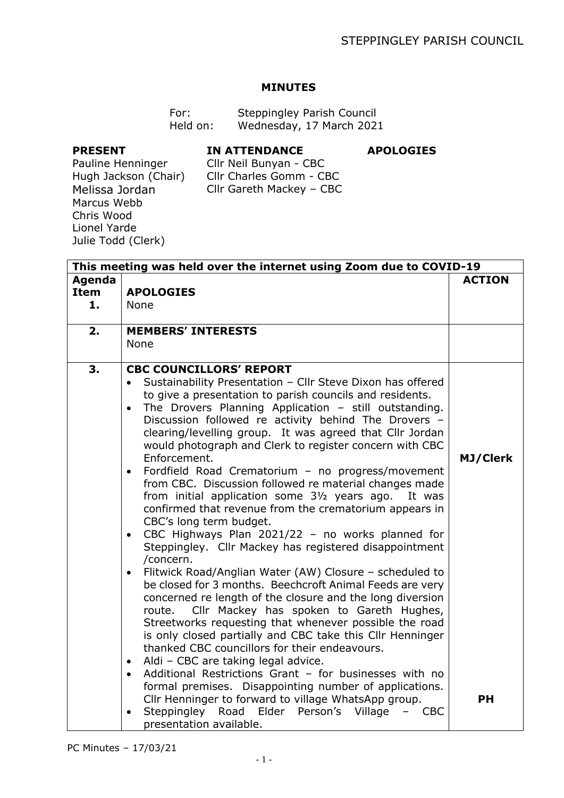**APOLOGIES**

## **MINUTES**

| For:     | Steppingley Parish Council |
|----------|----------------------------|
| Held on: | Wednesday, 17 March 2021   |

## **PRESENT**

## **IN ATTENDANCE**

Pauline Henninger Hugh Jackson (Chair) Melissa Jordan Marcus Webb Chris Wood Lionel Yarde Julie Todd (Clerk)

Cllr Neil Bunyan - CBC Cllr Charles Gomm - CBC Cllr Gareth Mackey – CBC

|                             | This meeting was held over the internet using Zoom due to COVID-19                                                                                                                                                                                                                                                                                                                                                                                                                                                                                                                                                                                                                                                                                                                                                                                                                                                                                                                                                                                                                                                                                                                                                                                                                                                                                                                                                       |                 |
|-----------------------------|--------------------------------------------------------------------------------------------------------------------------------------------------------------------------------------------------------------------------------------------------------------------------------------------------------------------------------------------------------------------------------------------------------------------------------------------------------------------------------------------------------------------------------------------------------------------------------------------------------------------------------------------------------------------------------------------------------------------------------------------------------------------------------------------------------------------------------------------------------------------------------------------------------------------------------------------------------------------------------------------------------------------------------------------------------------------------------------------------------------------------------------------------------------------------------------------------------------------------------------------------------------------------------------------------------------------------------------------------------------------------------------------------------------------------|-----------------|
| Agenda<br><b>Item</b><br>1. | <b>APOLOGIES</b><br><b>None</b>                                                                                                                                                                                                                                                                                                                                                                                                                                                                                                                                                                                                                                                                                                                                                                                                                                                                                                                                                                                                                                                                                                                                                                                                                                                                                                                                                                                          | <b>ACTION</b>   |
|                             |                                                                                                                                                                                                                                                                                                                                                                                                                                                                                                                                                                                                                                                                                                                                                                                                                                                                                                                                                                                                                                                                                                                                                                                                                                                                                                                                                                                                                          |                 |
| 2.                          | <b>MEMBERS' INTERESTS</b><br><b>None</b>                                                                                                                                                                                                                                                                                                                                                                                                                                                                                                                                                                                                                                                                                                                                                                                                                                                                                                                                                                                                                                                                                                                                                                                                                                                                                                                                                                                 |                 |
| 3.                          | <b>CBC COUNCILLORS' REPORT</b><br>Sustainability Presentation - Cllr Steve Dixon has offered<br>$\bullet$<br>to give a presentation to parish councils and residents.<br>The Drovers Planning Application - still outstanding.<br>$\bullet$<br>Discussion followed re activity behind The Drovers -<br>clearing/levelling group. It was agreed that Cllr Jordan<br>would photograph and Clerk to register concern with CBC<br>Enforcement.<br>Fordfield Road Crematorium - no progress/movement<br>$\bullet$<br>from CBC. Discussion followed re material changes made<br>from initial application some 31/2 years ago.<br>It was<br>confirmed that revenue from the crematorium appears in<br>CBC's long term budget.<br>CBC Highways Plan 2021/22 - no works planned for<br>$\bullet$<br>Steppingley. Cllr Mackey has registered disappointment<br>/concern.<br>Flitwick Road/Anglian Water (AW) Closure - scheduled to<br>$\bullet$<br>be closed for 3 months. Beechcroft Animal Feeds are very<br>concerned re length of the closure and the long diversion<br>Cllr Mackey has spoken to Gareth Hughes,<br>route.<br>Streetworks requesting that whenever possible the road<br>is only closed partially and CBC take this Cllr Henninger<br>thanked CBC councillors for their endeavours.<br>Aldi - CBC are taking legal advice.<br>$\bullet$<br>Additional Restrictions Grant - for businesses with no<br>$\bullet$ | <b>MJ/Clerk</b> |
|                             | formal premises. Disappointing number of applications.<br>Cllr Henninger to forward to village WhatsApp group.<br>Steppingley<br>Road Elder Person's Village<br><b>CBC</b><br>$\bullet$<br>presentation available.                                                                                                                                                                                                                                                                                                                                                                                                                                                                                                                                                                                                                                                                                                                                                                                                                                                                                                                                                                                                                                                                                                                                                                                                       | <b>PH</b>       |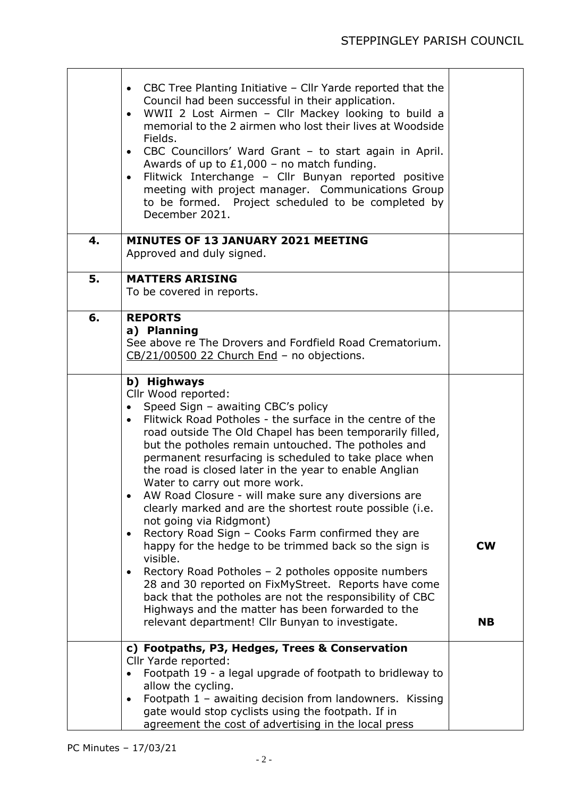|    | CBC Tree Planting Initiative - Cllr Yarde reported that the<br>$\bullet$<br>Council had been successful in their application.<br>WWII 2 Lost Airmen - Cllr Mackey looking to build a<br>$\bullet$<br>memorial to the 2 airmen who lost their lives at Woodside<br>Fields.<br>CBC Councillors' Ward Grant - to start again in April.<br>$\bullet$<br>Awards of up to $£1,000 -$ no match funding.<br>Flitwick Interchange - Cllr Bunyan reported positive<br>$\bullet$<br>meeting with project manager. Communications Group<br>to be formed. Project scheduled to be completed by<br>December 2021.                                                                                                                                                                                                                                                                                                                                                                                                                          |                        |
|----|------------------------------------------------------------------------------------------------------------------------------------------------------------------------------------------------------------------------------------------------------------------------------------------------------------------------------------------------------------------------------------------------------------------------------------------------------------------------------------------------------------------------------------------------------------------------------------------------------------------------------------------------------------------------------------------------------------------------------------------------------------------------------------------------------------------------------------------------------------------------------------------------------------------------------------------------------------------------------------------------------------------------------|------------------------|
| 4. | <b>MINUTES OF 13 JANUARY 2021 MEETING</b><br>Approved and duly signed.                                                                                                                                                                                                                                                                                                                                                                                                                                                                                                                                                                                                                                                                                                                                                                                                                                                                                                                                                       |                        |
| 5. | <b>MATTERS ARISING</b><br>To be covered in reports.                                                                                                                                                                                                                                                                                                                                                                                                                                                                                                                                                                                                                                                                                                                                                                                                                                                                                                                                                                          |                        |
| 6. | <b>REPORTS</b><br>a) Planning<br>See above re The Drovers and Fordfield Road Crematorium.<br>CB/21/00500 22 Church End - no objections.                                                                                                                                                                                                                                                                                                                                                                                                                                                                                                                                                                                                                                                                                                                                                                                                                                                                                      |                        |
|    | b) Highways<br>Cllr Wood reported:<br>Speed Sign - awaiting CBC's policy<br>$\bullet$<br>Flitwick Road Potholes - the surface in the centre of the<br>$\bullet$<br>road outside The Old Chapel has been temporarily filled,<br>but the potholes remain untouched. The potholes and<br>permanent resurfacing is scheduled to take place when<br>the road is closed later in the year to enable Anglian<br>Water to carry out more work.<br>AW Road Closure - will make sure any diversions are<br>clearly marked and are the shortest route possible (i.e.<br>not going via Ridgmont)<br>Rectory Road Sign - Cooks Farm confirmed they are<br>$\bullet$<br>happy for the hedge to be trimmed back so the sign is<br>visible.<br>Rectory Road Potholes - 2 potholes opposite numbers<br>$\bullet$<br>28 and 30 reported on FixMyStreet. Reports have come<br>back that the potholes are not the responsibility of CBC<br>Highways and the matter has been forwarded to the<br>relevant department! Cllr Bunyan to investigate. | <b>CW</b><br><b>NB</b> |
|    | c) Footpaths, P3, Hedges, Trees & Conservation<br>Cllr Yarde reported:<br>Footpath 19 - a legal upgrade of footpath to bridleway to<br>allow the cycling.<br>Footpath 1 - awaiting decision from landowners. Kissing<br>$\bullet$<br>gate would stop cyclists using the footpath. If in<br>agreement the cost of advertising in the local press                                                                                                                                                                                                                                                                                                                                                                                                                                                                                                                                                                                                                                                                              |                        |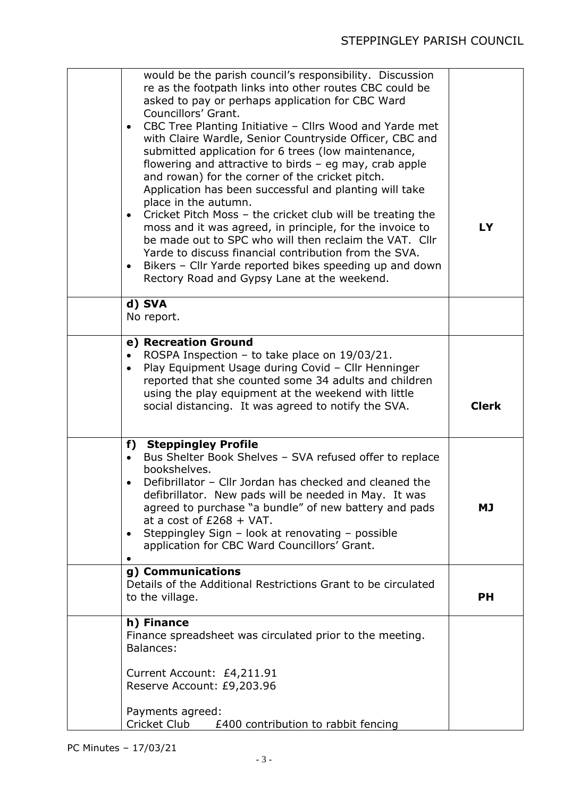| would be the parish council's responsibility. Discussion<br>re as the footpath links into other routes CBC could be<br>asked to pay or perhaps application for CBC Ward<br>Councillors' Grant.<br>CBC Tree Planting Initiative - Cllrs Wood and Yarde met<br>$\bullet$<br>with Claire Wardle, Senior Countryside Officer, CBC and<br>submitted application for 6 trees (low maintenance,<br>flowering and attractive to birds $-$ eg may, crab apple<br>and rowan) for the corner of the cricket pitch.<br>Application has been successful and planting will take<br>place in the autumn.<br>Cricket Pitch Moss - the cricket club will be treating the<br>$\bullet$<br>moss and it was agreed, in principle, for the invoice to<br>be made out to SPC who will then reclaim the VAT. Cllr<br>Yarde to discuss financial contribution from the SVA.<br>Bikers - Cllr Yarde reported bikes speeding up and down<br>$\bullet$ | LY           |
|-----------------------------------------------------------------------------------------------------------------------------------------------------------------------------------------------------------------------------------------------------------------------------------------------------------------------------------------------------------------------------------------------------------------------------------------------------------------------------------------------------------------------------------------------------------------------------------------------------------------------------------------------------------------------------------------------------------------------------------------------------------------------------------------------------------------------------------------------------------------------------------------------------------------------------|--------------|
| Rectory Road and Gypsy Lane at the weekend.<br>d) SVA<br>No report.                                                                                                                                                                                                                                                                                                                                                                                                                                                                                                                                                                                                                                                                                                                                                                                                                                                         |              |
| e) Recreation Ground<br>ROSPA Inspection - to take place on 19/03/21.<br>$\bullet$<br>Play Equipment Usage during Covid - Cllr Henninger<br>$\bullet$<br>reported that she counted some 34 adults and children<br>using the play equipment at the weekend with little<br>social distancing. It was agreed to notify the SVA.                                                                                                                                                                                                                                                                                                                                                                                                                                                                                                                                                                                                | <b>Clerk</b> |
| f) Steppingley Profile<br>Bus Shelter Book Shelves - SVA refused offer to replace<br>$\bullet$<br>bookshelves.<br>Defibrillator - Cllr Jordan has checked and cleaned the<br>defibrillator. New pads will be needed in May. It was<br>agreed to purchase "a bundle" of new battery and pads<br>at a cost of $£268 + VAT$ .<br>Steppingley Sign - look at renovating - possible<br>٠<br>application for CBC Ward Councillors' Grant.                                                                                                                                                                                                                                                                                                                                                                                                                                                                                         | <b>MJ</b>    |
| g) Communications<br>Details of the Additional Restrictions Grant to be circulated<br>to the village.                                                                                                                                                                                                                                                                                                                                                                                                                                                                                                                                                                                                                                                                                                                                                                                                                       | <b>PH</b>    |
| h) Finance<br>Finance spreadsheet was circulated prior to the meeting.<br>Balances:<br>Current Account: £4,211.91<br>Reserve Account: £9,203.96<br>Payments agreed:<br>Cricket Club<br>£400 contribution to rabbit fencing                                                                                                                                                                                                                                                                                                                                                                                                                                                                                                                                                                                                                                                                                                  |              |